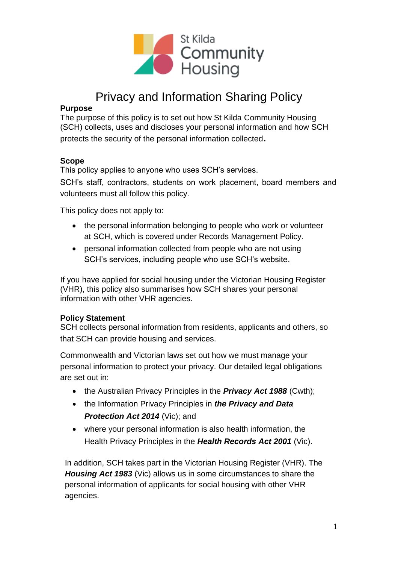

# Privacy and Information Sharing Policy

#### **Purpose**

The purpose of this policy is to set out how St Kilda Community Housing (SCH) collects, uses and discloses your personal information and how SCH protects the security of the personal information collected.

#### **Scope**

This policy applies to anyone who uses SCH's services.

SCH's staff, contractors, students on work placement, board members and volunteers must all follow this policy.

This policy does not apply to:

- the personal information belonging to people who work or volunteer at SCH, which is covered under Records Management Policy.
- personal information collected from people who are not using SCH's services, including people who use SCH's website.

If you have applied for social housing under the Victorian Housing Register (VHR), this policy also summarises how SCH shares your personal information with other VHR agencies.

## **Policy Statement**

SCH collects personal information from residents, applicants and others, so that SCH can provide housing and services.

Commonwealth and Victorian laws set out how we must manage your personal information to protect your privacy. Our detailed legal obligations are set out in:

- the Australian Privacy Principles in the *Privacy Act 1988* (Cwth);
- the Information Privacy Principles in *the Privacy and Data Protection Act 2014* (Vic); and
- where your personal information is also health information, the Health Privacy Principles in the *Health Records Act 2001* (Vic).

In addition, SCH takes part in the Victorian Housing Register (VHR). The *Housing Act 1983* (Vic) allows us in some circumstances to share the personal information of applicants for social housing with other VHR agencies.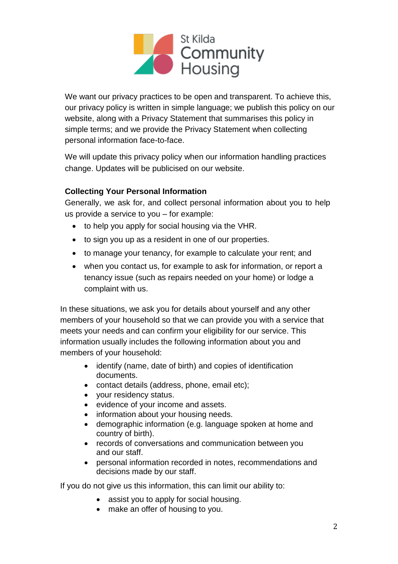

We want our privacy practices to be open and transparent. To achieve this, our privacy policy is written in simple language; we publish this policy on our website, along with a Privacy Statement that summarises this policy in simple terms; and we provide the Privacy Statement when collecting personal information face-to-face.

We will update this privacy policy when our information handling practices change. Updates will be publicised on our website.

## **Collecting Your Personal Information**

Generally, we ask for, and collect personal information about you to help us provide a service to you – for example:

- to help you apply for social housing via the VHR.
- to sign you up as a resident in one of our properties.
- to manage your tenancy, for example to calculate your rent; and
- when you contact us, for example to ask for information, or report a tenancy issue (such as repairs needed on your home) or lodge a complaint with us.

In these situations, we ask you for details about yourself and any other members of your household so that we can provide you with a service that meets your needs and can confirm your eligibility for our service. This information usually includes the following information about you and members of your household:

- identify (name, date of birth) and copies of identification documents.
- contact details (address, phone, email etc);
- your residency status.
- evidence of your income and assets.
- information about your housing needs.
- demographic information (e.g. language spoken at home and country of birth).
- records of conversations and communication between you and our staff.
- personal information recorded in notes, recommendations and decisions made by our staff.

If you do not give us this information, this can limit our ability to:

- assist you to apply for social housing.
- make an offer of housing to you.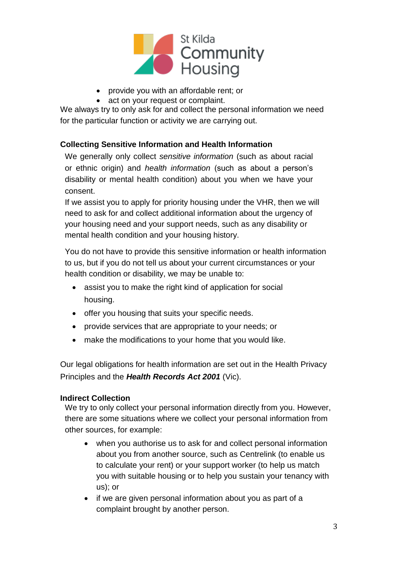

- provide you with an affordable rent; or
- act on your request or complaint.

We always try to only ask for and collect the personal information we need for the particular function or activity we are carrying out.

## **Collecting Sensitive Information and Health Information**

We generally only collect *sensitive information* (such as about racial or ethnic origin) and *health information* (such as about a person's disability or mental health condition) about you when we have your consent.

If we assist you to apply for priority housing under the VHR, then we will need to ask for and collect additional information about the urgency of your housing need and your support needs, such as any disability or mental health condition and your housing history.

You do not have to provide this sensitive information or health information to us, but if you do not tell us about your current circumstances or your health condition or disability, we may be unable to:

- assist you to make the right kind of application for social housing.
- offer you housing that suits your specific needs.
- provide services that are appropriate to your needs; or
- make the modifications to your home that you would like.

Our legal obligations for health information are set out in the Health Privacy Principles and the *Health Records Act 2001* (Vic).

## **Indirect Collection**

We try to only collect your personal information directly from you. However, there are some situations where we collect your personal information from other sources, for example:

- when you authorise us to ask for and collect personal information about you from another source, such as Centrelink (to enable us to calculate your rent) or your support worker (to help us match you with suitable housing or to help you sustain your tenancy with us); or
- if we are given personal information about you as part of a complaint brought by another person.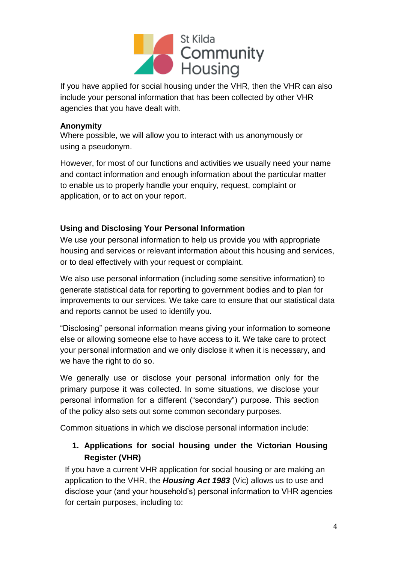

If you have applied for social housing under the VHR, then the VHR can also include your personal information that has been collected by other VHR agencies that you have dealt with.

## **Anonymity**

Where possible, we will allow you to interact with us anonymously or using a pseudonym.

However, for most of our functions and activities we usually need your name and contact information and enough information about the particular matter to enable us to properly handle your enquiry, request, complaint or application, or to act on your report.

## **Using and Disclosing Your Personal Information**

We use your personal information to help us provide you with appropriate housing and services or relevant information about this housing and services, or to deal effectively with your request or complaint.

We also use personal information (including some sensitive information) to generate statistical data for reporting to government bodies and to plan for improvements to our services. We take care to ensure that our statistical data and reports cannot be used to identify you.

"Disclosing" personal information means giving your information to someone else or allowing someone else to have access to it. We take care to protect your personal information and we only disclose it when it is necessary, and we have the right to do so.

We generally use or disclose your personal information only for the primary purpose it was collected. In some situations, we disclose your personal information for a different ("secondary") purpose. This section of the policy also sets out some common secondary purposes.

Common situations in which we disclose personal information include:

# **1. Applications for social housing under the Victorian Housing Register (VHR)**

If you have a current VHR application for social housing or are making an application to the VHR, the *Housing Act 1983* (Vic) allows us to use and disclose your (and your household's) personal information to VHR agencies for certain purposes, including to: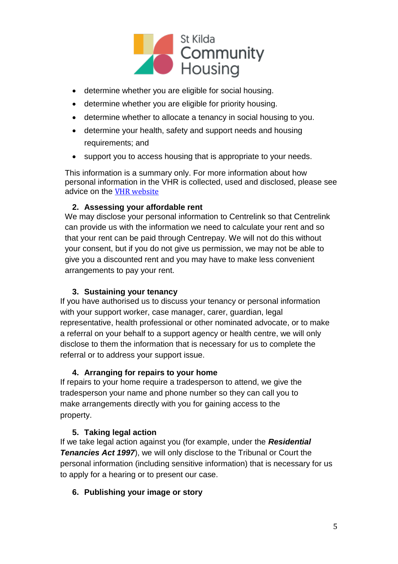

- determine whether you are eligible for social housing.
- determine whether you are eligible for priority housing.
- determine whether to allocate a tenancy in social housing to you.
- determine your health, safety and support needs and housing requirements; and
- support you to access housing that is appropriate to your needs.

This information is a summary only. For more information about how personal information in the VHR is collected, used and disclosed, please see advice on the [VHR website](https://www.housing.vic.gov.au/privacy)

## **2. Assessing your affordable rent**

We may disclose your personal information to Centrelink so that Centrelink can provide us with the information we need to calculate your rent and so that your rent can be paid through Centrepay. We will not do this without your consent, but if you do not give us permission, we may not be able to give you a discounted rent and you may have to make less convenient arrangements to pay your rent.

## **3. Sustaining your tenancy**

If you have authorised us to discuss your tenancy or personal information with your support worker, case manager, carer, guardian, legal representative, health professional or other nominated advocate, or to make a referral on your behalf to a support agency or health centre, we will only disclose to them the information that is necessary for us to complete the referral or to address your support issue.

## **4. Arranging for repairs to your home**

If repairs to your home require a tradesperson to attend, we give the tradesperson your name and phone number so they can call you to make arrangements directly with you for gaining access to the property.

## **5. Taking legal action**

If we take legal action against you (for example, under the *Residential Tenancies Act 1997*), we will only disclose to the Tribunal or Court the personal information (including sensitive information) that is necessary for us to apply for a hearing or to present our case.

## **6. Publishing your image or story**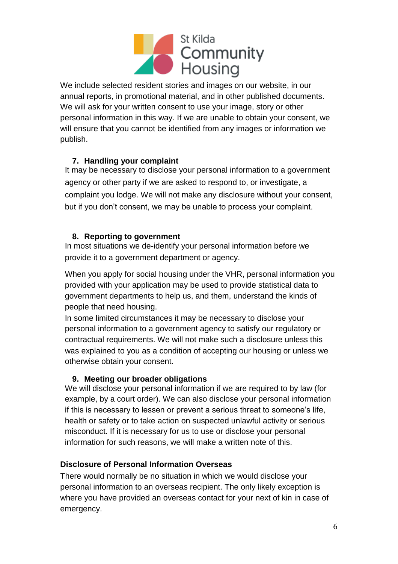

We include selected resident stories and images on our website, in our annual reports, in promotional material, and in other published documents. We will ask for your written consent to use your image, story or other personal information in this way. If we are unable to obtain your consent, we will ensure that you cannot be identified from any images or information we publish.

## **7. Handling your complaint**

It may be necessary to disclose your personal information to a government agency or other party if we are asked to respond to, or investigate, a complaint you lodge. We will not make any disclosure without your consent, but if you don't consent, we may be unable to process your complaint.

## **8. Reporting to government**

In most situations we de-identify your personal information before we provide it to a government department or agency.

When you apply for social housing under the VHR, personal information you provided with your application may be used to provide statistical data to government departments to help us, and them, understand the kinds of people that need housing.

In some limited circumstances it may be necessary to disclose your personal information to a government agency to satisfy our regulatory or contractual requirements. We will not make such a disclosure unless this was explained to you as a condition of accepting our housing or unless we otherwise obtain your consent.

## **9. Meeting our broader obligations**

We will disclose your personal information if we are required to by law (for example, by a court order). We can also disclose your personal information if this is necessary to lessen or prevent a serious threat to someone's life, health or safety or to take action on suspected unlawful activity or serious misconduct. If it is necessary for us to use or disclose your personal information for such reasons, we will make a written note of this.

## **Disclosure of Personal Information Overseas**

There would normally be no situation in which we would disclose your personal information to an overseas recipient. The only likely exception is where you have provided an overseas contact for your next of kin in case of emergency.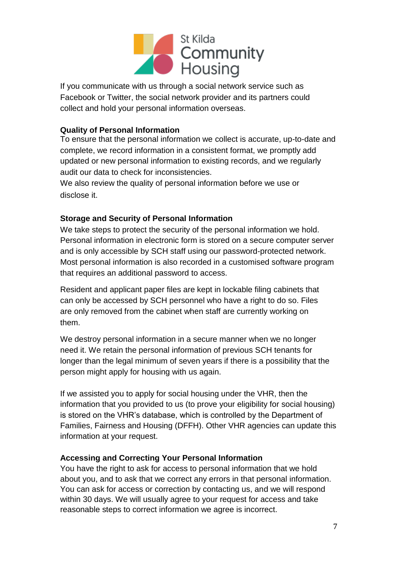

If you communicate with us through a social network service such as Facebook or Twitter, the social network provider and its partners could collect and hold your personal information overseas.

## **Quality of Personal Information**

To ensure that the personal information we collect is accurate, up-to-date and complete, we record information in a consistent format, we promptly add updated or new personal information to existing records, and we regularly audit our data to check for inconsistencies.

We also review the quality of personal information before we use or disclose it.

## **Storage and Security of Personal Information**

We take steps to protect the security of the personal information we hold. Personal information in electronic form is stored on a secure computer server and is only accessible by SCH staff using our password-protected network. Most personal information is also recorded in a customised software program that requires an additional password to access.

Resident and applicant paper files are kept in lockable filing cabinets that can only be accessed by SCH personnel who have a right to do so. Files are only removed from the cabinet when staff are currently working on them.

We destroy personal information in a secure manner when we no longer need it. We retain the personal information of previous SCH tenants for longer than the legal minimum of seven years if there is a possibility that the person might apply for housing with us again.

If we assisted you to apply for social housing under the VHR, then the information that you provided to us (to prove your eligibility for social housing) is stored on the VHR's database, which is controlled by the Department of Families, Fairness and Housing (DFFH). Other VHR agencies can update this information at your request.

## **Accessing and Correcting Your Personal Information**

You have the right to ask for access to personal information that we hold about you, and to ask that we correct any errors in that personal information. You can ask for access or correction by contacting us, and we will respond within 30 days. We will usually agree to your request for access and take reasonable steps to correct information we agree is incorrect.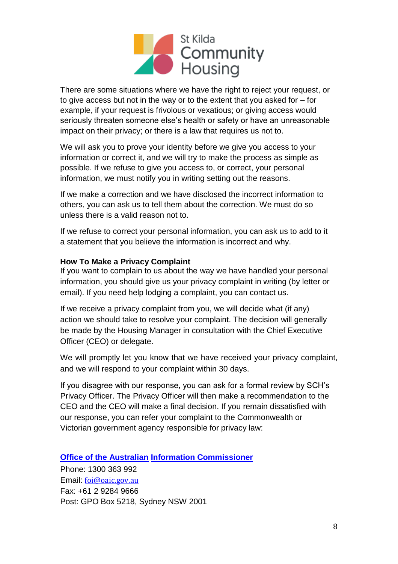

There are some situations where we have the right to reject your request, or to give access but not in the way or to the extent that you asked for – for example, if your request is frivolous or vexatious; or giving access would seriously threaten someone else's health or safety or have an unreasonable impact on their privacy; or there is a law that requires us not to.

We will ask you to prove your identity before we give you access to your information or correct it, and we will try to make the process as simple as possible. If we refuse to give you access to, or correct, your personal information, we must notify you in writing setting out the reasons.

If we make a correction and we have disclosed the incorrect information to others, you can ask us to tell them about the correction. We must do so unless there is a valid reason not to.

If we refuse to correct your personal information, you can ask us to add to it a statement that you believe the information is incorrect and why.

#### **How To Make a Privacy Complaint**

If you want to complain to us about the way we have handled your personal information, you should give us your privacy complaint in writing (by letter or email). If you need help lodging a complaint, you can contact us.

If we receive a privacy complaint from you, we will decide what (if any) action we should take to resolve your complaint. The decision will generally be made by the Housing Manager in consultation with the Chief Executive Officer (CEO) or delegate.

We will promptly let you know that we have received your privacy complaint, and we will respond to your complaint within 30 days.

If you disagree with our response, you can ask for a formal review by SCH's Privacy Officer. The Privacy Officer will then make a recommendation to the CEO and the CEO will make a final decision. If you remain dissatisfied with our response, you can refer your complaint to the Commonwealth or Victorian government agency responsible for privacy law:

**[Office of the Australian](https://www.oaic.gov.au/) [Information Commissioner](https://www.oaic.gov.au/)**

Phone: 1300 363 992 Email: [foi@oaic.gov.au](mailto:foi@oaic.gov.au) Fax: +61 2 9284 9666 Post: GPO Box 5218, Sydney NSW 2001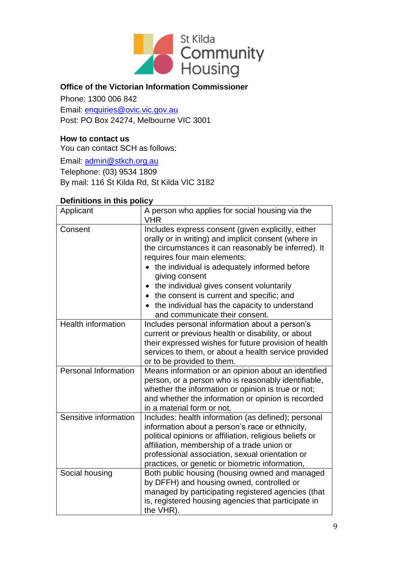

## **Office of the Victorian Information Commissioner**

Phone: 1300 006 842

Email: [enquiries@ovic.vic.gov.au](mailto:privacy%40cpdp.vic.gov.au?subject=) Post: PO Box 24274, Melbourne VIC 3001

## **How to contact us**

You can contact SCH as follows:

Email: [admin@stkch.org.au](mailto:admin%40stkch.org.au?subject=) 

Telephone: (03) 9534 1809

By mail: 116 St Kilda Rd, St Kilda VIC 3182

#### **Definitions in this policy**

| Applicant                   | A person who applies for social housing via the<br><b>VHR</b>                                                                                                                                                                                                                                                                                                                                                                                   |  |  |
|-----------------------------|-------------------------------------------------------------------------------------------------------------------------------------------------------------------------------------------------------------------------------------------------------------------------------------------------------------------------------------------------------------------------------------------------------------------------------------------------|--|--|
| Consent                     | Includes express consent (given explicitly, either<br>orally or in writing) and implicit consent (where in<br>the circumstances it can reasonably be inferred). It<br>requires four main elements:<br>the individual is adequately informed before<br>giving consent<br>the individual gives consent voluntarily<br>the consent is current and specific; and<br>the individual has the capacity to understand<br>and communicate their consent. |  |  |
| <b>Health information</b>   | Includes personal information about a person's<br>current or previous health or disability, or about<br>their expressed wishes for future provision of health<br>services to them, or about a health service provided<br>or to be provided to them.                                                                                                                                                                                             |  |  |
| <b>Personal Information</b> | Means information or an opinion about an identified<br>person, or a person who is reasonably identifiable,<br>whether the information or opinion is true or not;<br>and whether the information or opinion is recorded<br>in a material form or not.                                                                                                                                                                                            |  |  |
| Sensitive information       | Includes: health information (as defined); personal<br>information about a person's race or ethnicity,<br>political opinions or affiliation, religious beliefs or<br>affiliation, membership of a trade union or<br>professional association, sexual orientation or<br>practices, or genetic or biometric information,                                                                                                                          |  |  |
| Social housing              | Both public housing (housing owned and managed<br>by DFFH) and housing owned, controlled or<br>managed by participating registered agencies (that<br>is, registered housing agencies that participate in<br>the VHR).                                                                                                                                                                                                                           |  |  |